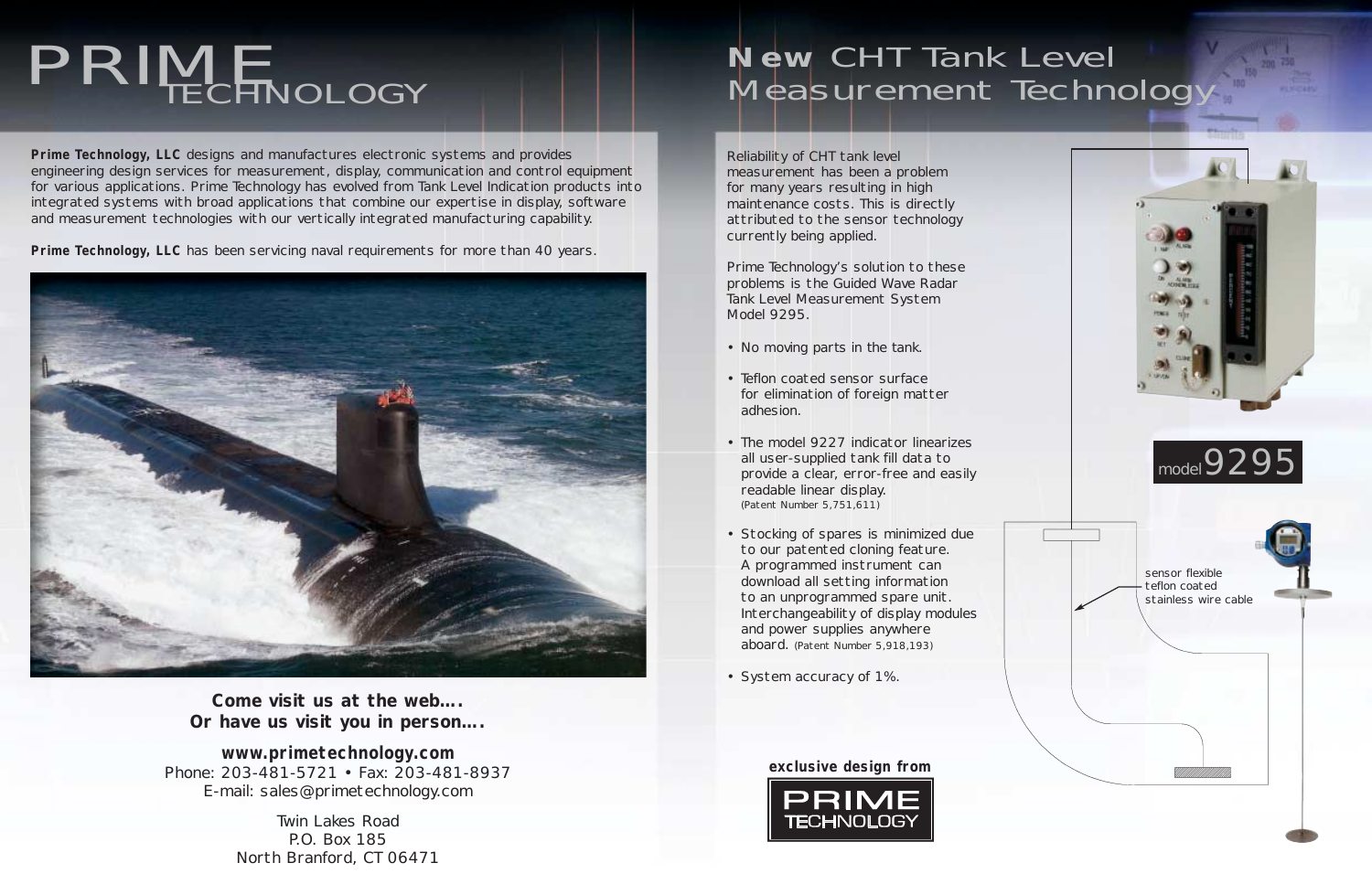# PRIME TECHNOLOGY

**Prime Technology, LLC** designs and manufactures electronic systems and provides engineering design services for measurement, display, communication and control equipment for various applications. Prime Technology has evolved from Tank Level Indication products into integrated systems with broad applications that combine our expertise in display, software and measurement technologies with our vertically integrated manufacturing capability.

**Prime Technology, LLC** has been servicing naval requirements for more than 40 years.



# **New** CHT Tank Level Measurement Technology

*Come visit us at the web…. Or have us visit you in person….*

**www.primetechnology.com** Phone: 203-481-5721 • Fax: 203-481-8937 E-mail: sales@primetechnology.com

> Twin Lakes Road P.O. Box 185 North Branford, CT 06471

Reliability of CHT tank level measurement has been a problem for many years resulting in high maintenance costs. This is directly attributed to the sensor technology currently being applied.

Prime Technology's solution to these problems is the Guided Wave Radar Tank Level Measurement System Model 9295.

- *No moving parts in the tank.*
- Teflon coated sensor surface for elimination of foreign matter adhesion.
- The model 9227 indicator linearizes all user-supplied tank fill data to provide a clear, error-free and easily readable linear display. (Patent Number 5,751,611)
- Stocking of spares is minimized due to our patented cloning feature. A programmed instrument can download all setting information to an unprogrammed spare unit. Interchangeability of display modules and power supplies anywhere aboard. (Patent Number 5,918,193)
- System accuracy of 1%.



#### **exclusive design from**